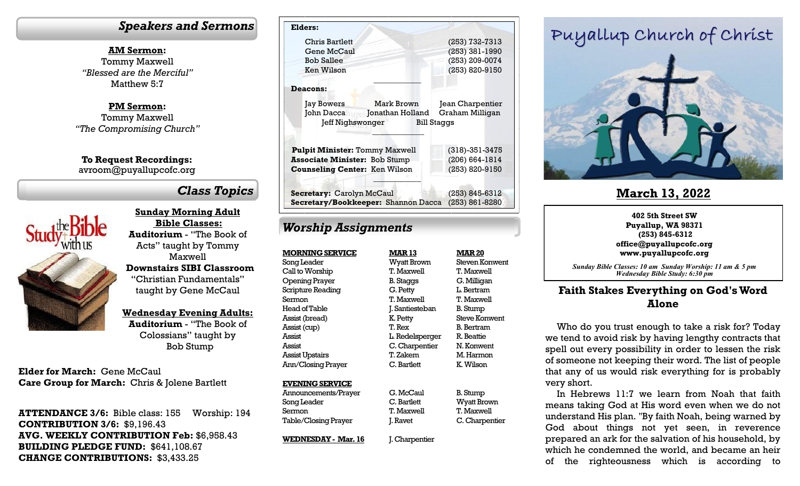#### *Speakers and Sermons*

**AM Sermon:** Tommy Maxwell *"Blessed are the Merciful"* Matthew 5:7

**PM Sermon:** Tommy Maxwell *"The Compromising Church"*

**To Request Recordings:** avroom@puyallupcofc.org

#### *Class Topics*



**Sunday Morning Adult Bible Classes: Auditorium** - "The Book of Acts" taught by Tommy Maxwell **Downstairs SIBI Classroom**  "Christian Fundamentals" taught by Gene McCaul

**Wednesday Evening Adults:** 

**Auditorium** - "The Book of Colossians" taught by Bob Stump

**Elder for March:** Gene McCaul **Care Group for March:** Chris & Jolene Bartlett

**ATTENDANCE 3/6:** Bible class: 155 Worship: 194 **CONTRIBUTION 3/6:** \$9,196.43 **AVG. WEEKLY CONTRIBUTION Feb:** \$6,958.43 **BUILDING PLEDGE FUND:** \$641,108.67 **CHANGE CONTRIBUTIONS:** \$3,433.25

| <b>Elders:</b>                                             |                    |                      |
|------------------------------------------------------------|--------------------|----------------------|
| Chris Bartlett                                             |                    | (253) 732-7313       |
| Gene McCaul                                                |                    | $(253)$ 381-1990     |
| <b>Bob Sallee</b>                                          |                    | (253) 209-0074       |
| Ken Wilson                                                 |                    | (253) 820-9150       |
| <b>Deacons:</b>                                            |                    |                      |
| Jay Bowers                                                 | Mark Brown         | Jean Charpentier     |
| John Dacca <b>The Jonathan Holland</b><br>Jeff Nighswonger | <b>Bill Staggs</b> | Graham Milligan      |
| <b>Pulpit Minister: Tommy Maxwell</b>                      |                    | $(318) - 351 - 3475$ |
| <b>Associate Minister: Bob Stump</b>                       |                    | $(206) 664 - 1814$   |
| <b>Counseling Center: Ken Wilson</b>                       |                    | (253) 820-9150       |
|                                                            |                    |                      |
| <b>Secretary: Carolyn McCaul</b>                           |                    | $(253) 845 - 6312$   |

G. Petty

K. Petty T. Rex

C. Bartlett T. Maxwell J. Ravet

#### *Worship Assignments*

**MORNING SERVICE** Song Leader Call to Worship Opening Prayer Scripture Reading Sermon Head of Table Assist (bread) Assist (cup) Assist Assist Assist Upstairs Ann/Closing Prayer

#### **EVENING SERVICE** Announcements/Prayer

Song Leader Sermon Table/Closing Prayer

**WEDNESDAY - Mar. 16**

**MAR 13** Wyatt Brown T. Maxwell B. Staggs T. Maxwell J. Santiesteban L. Redelsperger C. Charpentier T. Zakem C. Bartlett G. McCaul **MAR 20** Steven Konwent T. Maxwell G. Milligan L. Bertram T. Maxwell B. Stump Steve Konwent B. Bertram R. Beattie N. Konwent M. Harmon K. Wilson B. Stump

Wyatt Brown T. Maxwell

# C. Charpentier

J. Charpentier

## Puyallup Church of Christ



#### **March 13, 2022**

**402 5th Street SW Puyallup, WA 98371 (253) 845-6312 office@puyallupcofc.org www.puyallupcofc.org** 

*Sunday Bible Classes: 10 am Sunday Worship: 11 am & 5 pm Wednesday Bible Study: 6:30 pm*

#### **Faith Stakes Everything on God's Word Alone**

Who do you trust enough to take a risk for? Today we tend to avoid risk by having lengthy contracts that spell out every possibility in order to lessen the risk of someone not keeping their word. The list of people that any of us would risk everything for is probably very short.

In Hebrews 11:7 we learn from Noah that faith means taking God at His word even when we do not understand His plan. "By faith Noah, being warned by God about things not yet seen, in reverence prepared an ark for the salvation of his household, by which he condemned the world, and became an heir of the righteousness which is according to